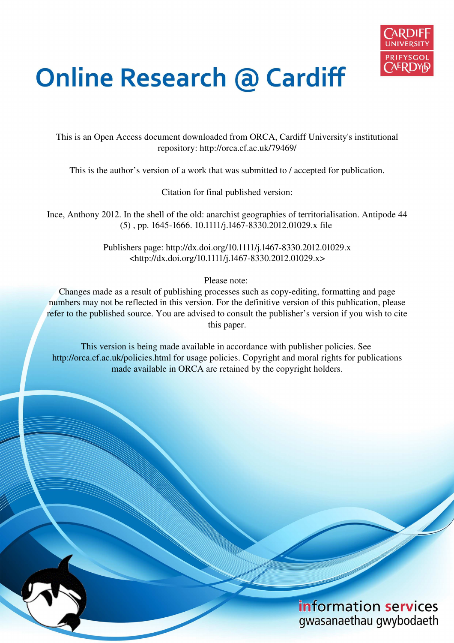

# **Online Research @ Cardiff**

This is an Open Access document downloaded from ORCA, Cardiff University's institutional repository: http://orca.cf.ac.uk/79469/

This is the author's version of a work that was submitted to / accepted for publication.

Citation for final published version:

Ince, Anthony 2012. In the shell of the old: anarchist geographies of territorialisation. Antipode 44 (5) , pp. 1645-1666. 10.1111/j.1467-8330.2012.01029.x file

> Publishers page: http://dx.doi.org/10.1111/j.1467-8330.2012.01029.x <http://dx.doi.org/10.1111/j.1467-8330.2012.01029.x>

> > Please note:

Changes made as a result of publishing processes such as copy-editing, formatting and page numbers may not be reflected in this version. For the definitive version of this publication, please refer to the published source. You are advised to consult the publisher's version if you wish to cite this paper.

This version is being made available in accordance with publisher policies. See http://orca.cf.ac.uk/policies.html for usage policies. Copyright and moral rights for publications made available in ORCA are retained by the copyright holders.

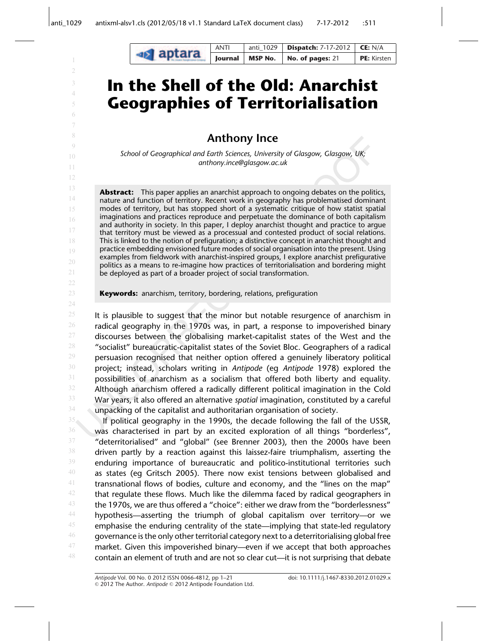2

6 7 8

34

|        | <b>ANTI</b> | anti 1029   <b>Dispatch:</b> 7-17-2012   <b>CE:</b> N/A |                    |
|--------|-------------|---------------------------------------------------------|--------------------|
| aptara |             | Journal   MSP No.   No. of pages: 21                    | <b>PE:</b> Kirsten |

## **In the Shell of the Old: Anarchist Geographies of Territorialisation**

### **Anthony Ince**

*School of Geographical and Earth Sciences, University of Glasgow, Glasgow, UK; anthony.ince@glasgow.ac.uk*

**Abstract:** This paper applies an anarchist approach to ongoing debates on the politics, nature and function of territory. Recent work in geography has problematised dominant modes of territory, but has stopped short of a systematic critique of how statist spatial imaginations and practices reproduce and perpetuate the dominance of both capitalism and authority in society. In this paper, I deploy anarchist thought and practice to argue that territory must be viewed as a processual and contested product of social relations. This is linked to the notion of prefiguration; a distinctive concept in anarchist thought and practice embedding envisioned future modes of social organisation into the present. Using examples from fieldwork with anarchist-inspired groups, I explore anarchist prefigurative politics as a means to re-imagine how practices of territorialisation and bordering might be deployed as part of a broader project of social transformation.

**Keywords:** anarchism, territory, bordering, relations, prefiguration

It is plausible to suggest that the minor but notable resurgence of anarchism in radical geography in the 1970s was, in part, a response to impoverished binary discourses between the globalising market-capitalist states of the West and the "socialist" bureaucratic-capitalist states of the Soviet Bloc. Geographers of a radical persuasion recognised that neither option offered a genuinely liberatory political project; instead, scholars writing in *Antipode* (eg *Antipode* 1978) explored the possibilities of anarchism as a socialism that offered both liberty and equality. Although anarchism offered a radically different political imagination in the Cold War years, it also offered an alternative *spatial* imagination, constituted by a careful unpacking of the capitalist and authoritarian organisation of society.

36 37 38 39 40 41 42 43 44 45 46 47 48 If political geography in the 1990s, the decade following the fall of the USSR, was characterised in part by an excited exploration of all things "borderless", "deterritorialised" and "global" (see Brenner 2003), then the 2000s have been driven partly by a reaction against this laissez-faire triumphalism, asserting the enduring importance of bureaucratic and politico-institutional territories such as states (eg Gritsch 2005). There now exist tensions between globalised and transnational flows of bodies, culture and economy, and the "lines on the map" that regulate these flows. Much like the dilemma faced by radical geographers in the 1970s, we are thus offered a "choice": either we draw from the "borderlessness" hypothesis—asserting the triumph of global capitalism over territory—or we emphasise the enduring centrality of the state—implying that state-led regulatory governance is the only other territorial category next to a deterritorialising global free market. Given this impoverished binary—even if we accept that both approaches contain an element of truth and are not so clear cut—it is not surprising that debate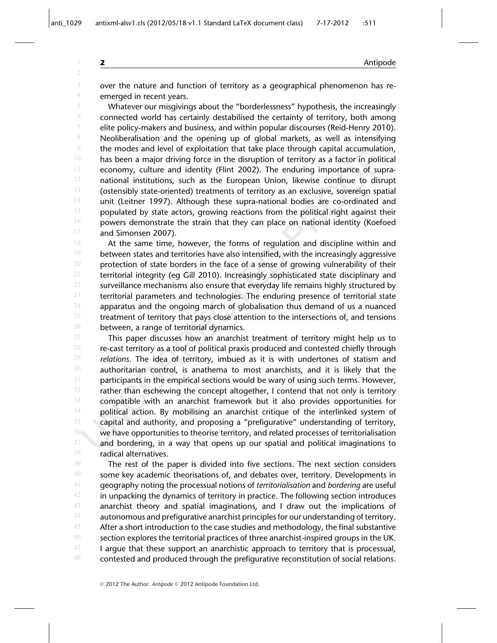over the nature and function of territory as a geographical phenomenon has reemerged in recent years.

5 6 7 8 9 10 11 12 13 14 15 16 17 Whatever our misgivings about the "borderlessness" hypothesis, the increasingly connected world has certainly destabilised the certainty of territory, both among elite policy-makers and business, and within popular discourses (Reid-Henry 2010). Neoliberalisation and the opening up of global markets, as well as intensifying the modes and level of exploitation that take place through capital accumulation, has been a major driving force in the disruption of territory as a factor in political economy, culture and identity (Flint 2002). The enduring importance of supranational institutions, such as the European Union, likewise continue to disrupt (ostensibly state-oriented) treatments of territory as an exclusive, sovereign spatial unit (Leitner 1997). Although these supra-national bodies are co-ordinated and populated by state actors, growing reactions from the political right against their powers demonstrate the strain that they can place on national identity (Koefoed and Simonsen 2007).

18 19 20 21 22 23 24 25 26 At the same time, however, the forms of regulation and discipline within and between states and territories have also intensified, with the increasingly aggressive protection of state borders in the face of a sense of growing vulnerability of their territorial integrity (eg Gill 2010). Increasingly sophisticated state disciplinary and surveillance mechanisms also ensure that everyday life remains highly structured by territorial parameters and technologies. The enduring presence of territorial state apparatus and the ongoing march of globalisation thus demand of us a nuanced treatment of territory that pays close attention to the intersections of, and tensions between, a range of territorial dynamics.

27 28 29 30 31 32 33 34 35  $36 -$ 37 38 This paper discusses how an anarchist treatment of territory might help us to re-cast territory as a tool of political praxis produced and contested chiefly through *relations*. The idea of territory, imbued as it is with undertones of statism and authoritarian control, is anathema to most anarchists, and it is likely that the participants in the empirical sections would be wary of using such terms. However, rather than eschewing the concept altogether, I contend that not only is territory compatible with an anarchist framework but it also provides opportunities for political action. By mobilising an anarchist critique of the interlinked system of capital and authority, and proposing a "prefigurative" understanding of territory, we have opportunities to theorise territory, and related processes of territorialisation and bordering, in a way that opens up our spatial and political imaginations to radical alternatives.

39 40 41 42 43 44 45 46 47 48 The rest of the paper is divided into five sections. The next section considers some key academic theorisations of, and debates over, territory. Developments in geography noting the processual notions of *territorialisation* and *bordering* are useful in unpacking the dynamics of territory in practice. The following section introduces anarchist theory and spatial imaginations, and I draw out the implications of autonomous and prefigurative anarchist principles for our understanding of territory. After a short introduction to the case studies and methodology, the final substantive section explores the territorial practices of three anarchist-inspired groups in the UK. I argue that these support an anarchistic approach to territory that is processual, contested and produced through the prefigurative reconstitution of social relations.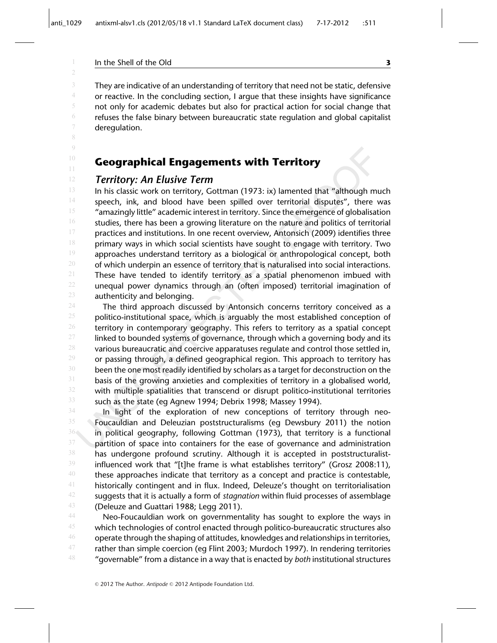They are indicative of an understanding of territory that need not be static, defensive or reactive. In the concluding section, I argue that these insights have significance not only for academic debates but also for practical action for social change that refuses the false binary between bureaucratic state regulation and global capitalist deregulation.

### **Geographical Engagements with Territory**

#### *Territory: An Elusive Term*

13 14 15 16 17 18 19 20 22 23 In his classic work on territory, Gottman (1973: ix) lamented that "although much speech, ink, and blood have been spilled over territorial disputes", there was "amazingly little" academic interest in territory. Since the emergence of globalisation studies, there has been a growing literature on the nature and politics of territorial practices and institutions. In one recent overview, Antonsich (2009) identifies three primary ways in which social scientists have sought to engage with territory. Two approaches understand territory as a biological or anthropological concept, both of which underpin an essence of territory that is naturalised into social interactions. These have tended to identify territory as a spatial phenomenon imbued with unequal power dynamics through an (often imposed) territorial imagination of authenticity and belonging.

24  $25$ 26 27 28 29 31 33 The third approach discussed by Antonsich concerns territory conceived as a politico-institutional space, which is arguably the most established conception of territory in contemporary geography. This refers to territory as a spatial concept linked to bounded systems of governance, through which a governing body and its various bureaucratic and coercive apparatuses regulate and control those settled in, or passing through, a defined geographical region. This approach to territory has been the one most readily identified by scholars as a target for deconstruction on the basis of the growing anxieties and complexities of territory in a globalised world, with multiple spatialities that transcend or disrupt politico-institutional territories such as the state (eg Agnew 1994; Debrix 1998; Massey 1994).

In light of the exploration of new conceptions of territory through neo-Foucauldian and Deleuzian poststructuralisms (eg Dewsbury 2011) the notion in political geography, following Gottman (1973), that territory is a functional partition of space into containers for the ease of governance and administration has undergone profound scrutiny. Although it is accepted in poststructuralistinfluenced work that "[t]he frame is what establishes territory" (Grosz 2008:11), these approaches indicate that territory as a concept and practice is contestable, historically contingent and in flux. Indeed, Deleuze's thought on territorialisation suggests that it is actually a form of *stagnation* within fluid processes of assemblage (Deleuze and Guattari 1988; Legg 2011).

44 45 46 47 48 Neo-Foucauldian work on governmentality has sought to explore the ways in which technologies of control enacted through politico-bureaucratic structures also operate through the shaping of attitudes, knowledges and relationships in territories, rather than simple coercion (eg Flint 2003; Murdoch 1997). In rendering territories "governable" from a distance in a way that is enacted by *both* institutional structures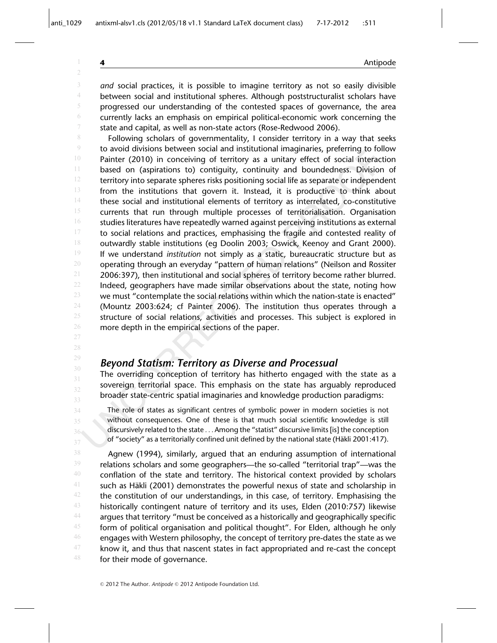11

13

15

24 25

*and* social practices, it is possible to imagine territory as not so easily divisible between social and institutional spheres. Although poststructuralist scholars have progressed our understanding of the contested spaces of governance, the area currently lacks an emphasis on empirical political-economic work concerning the state and capital, as well as non-state actors (Rose-Redwood 2006).

10 12 14 16 17 18 23 26 Following scholars of governmentality, I consider territory in a way that seeks to avoid divisions between social and institutional imaginaries, preferring to follow Painter (2010) in conceiving of territory as a unitary effect of social interaction based on (aspirations to) contiguity, continuity and boundedness. Division of territory into separate spheres risks positioning social life as separate or independent from the institutions that govern it. Instead, it is productive to think about these social and institutional elements of territory as interrelated, co-constitutive currents that run through multiple processes of territorialisation. Organisation studies literatures have repeatedly warned against perceiving institutions as external to social relations and practices, emphasising the fragile and contested reality of outwardly stable institutions (eg Doolin 2003; Oswick, Keenoy and Grant 2000). If we understand *institution* not simply as a static, bureaucratic structure but as operating through an everyday "pattern of human relations" (Neilson and Rossiter 2006:397), then institutional and social spheres of territory become rather blurred. Indeed, geographers have made similar observations about the state, noting how we must "contemplate the social relations within which the nation-state is enacted" (Mountz 2003:624; cf Painter 2006). The institution thus operates through a structure of social relations, activities and processes. This subject is explored in more depth in the empirical sections of the paper.

#### *Beyond Statism: Territory as Diverse and Processual*

The overriding conception of territory has hitherto engaged with the state as a sovereign territorial space. This emphasis on the state has arguably reproduced broader state-centric spatial imaginaries and knowledge production paradigms:

The role of states as significant centres of symbolic power in modern societies is not without consequences. One of these is that much social scientific knowledge is still discursively related to the state ... Among the "statist" discursive limits [is] the conception of "society" as a territorially confined unit defined by the national state (Häkli 2001:417).

Agnew (1994), similarly, argued that an enduring assumption of international relations scholars and some geographers—the so-called "territorial trap"—was the conflation of the state and territory. The historical context provided by scholars such as Häkli (2001) demonstrates the powerful nexus of state and scholarship in the constitution of our understandings, in this case, of territory. Emphasising the historically contingent nature of territory and its uses, Elden (2010:757) likewise argues that territory "must be conceived as a historically and geographically specific form of political organisation and political thought". For Elden, although he only engages with Western philosophy, the concept of territory pre-dates the state as we know it, and thus that nascent states in fact appropriated and re-cast the concept for their mode of governance.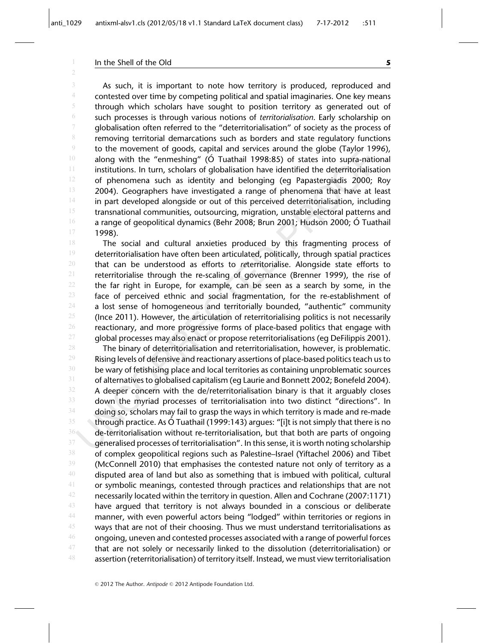1 2

15 16 17

3 4 14 As such, it is important to note how territory is produced, reproduced and contested over time by competing political and spatial imaginaries. One key means through which scholars have sought to position territory as generated out of such processes is through various notions of *territorialisation*. Early scholarship on globalisation often referred to the "deterritorialisation" of society as the process of removing territorial demarcations such as borders and state regulatory functions to the movement of goods, capital and services around the globe (Taylor 1996), along with the "enmeshing" ( $\acute{o}$  Tuathail 1998:85) of states into supra-national institutions. In turn, scholars of globalisation have identified the deterritorialisation of phenomena such as identity and belonging (eg Papastergiadis 2000; Roy 2004). Geographers have investigated a range of phenomena that have at least in part developed alongside or out of this perceived deterritorialisation, including transnational communities, outsourcing, migration, unstable electoral patterns and a range of geopolitical dynamics (Behr 2008; Brun 2001; Hudson 2000; O Tuathail ´ 1998).

18 19 20 22 23 24  $25$ 26 27 The social and cultural anxieties produced by this fragmenting process of deterritorialisation have often been articulated, politically, through spatial practices that can be understood as efforts to *re*territorialise. Alongside state efforts to reterritorialise through the re-scaling of governance (Brenner 1999), the rise of the far right in Europe, for example, can be seen as a search by some, in the face of perceived ethnic and social fragmentation, for the re-establishment of a lost sense of homogeneous and territorially bounded, "authentic" community (Ince 2011). However, the articulation of reterritorialising politics is not necessarily reactionary, and more progressive forms of place-based politics that engage with global processes may also enact or propose reterritorialisations (eg DeFilippis 2001).

28 29 31 33 34 35 36 37 38 39 40 41 42 43 44 45 46 47 48 The binary of deterritorialisation and reterritorialisation, however, is problematic. Rising levels of defensive and reactionary assertions of place-based politics teach us to be wary of fetishising place and local territories as containing unproblematic sources of alternatives to globalised capitalism (eg Laurie and Bonnett 2002; Bonefeld 2004). A deeper concern with the de/reterritorialisation binary is that it arguably closes down the myriad processes of territorialisation into two distinct "directions". In doing so, scholars may fail to grasp the ways in which territory is made and re-made through practice. As O Tuathail (1999:143) argues: "[i]t is not simply that there is no ´ de-territorialisation without re-territorialisation, but that both are parts of ongoing generalised processes of territorialisation". In this sense, it is worth noting scholarship of complex geopolitical regions such as Palestine–Israel (Yiftachel 2006) and Tibet (McConnell 2010) that emphasises the contested nature not only of territory as a disputed area of land but also as something that is imbued with political, cultural or symbolic meanings, contested through practices and relationships that are not necessarily located within the territory in question. Allen and Cochrane (2007:1171) have argued that territory is not always bounded in a conscious or deliberate manner, with even powerful actors being "lodged" within territories or regions in ways that are not of their choosing. Thus we must understand territorialisations as ongoing, uneven and contested processes associated with a range of powerful forces that are not solely or necessarily linked to the dissolution (deterritorialisation) or assertion (reterritorialisation) of territory itself. Instead, we must view territorialisation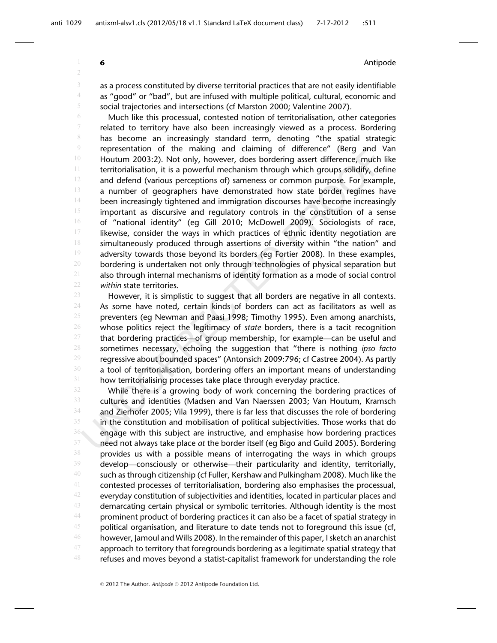as a process constituted by diverse territorial practices that are not easily identifiable as "good" or "bad", but are infused with multiple political, cultural, economic and social trajectories and intersections (cf Marston 2000; Valentine 2007).

6 7 8 9 10 11 12 13 14 15 16 17 18 19 20 21 22 Much like this processual, contested notion of territorialisation, other categories related to territory have also been increasingly viewed as a process. Bordering has become an increasingly standard term, denoting "the spatial strategic representation of the making and claiming of difference" (Berg and Van Houtum 2003:2). Not only, however, does bordering assert difference, much like territorialisation, it is a powerful mechanism through which groups solidify, define and defend (various perceptions of) sameness or common purpose. For example, a number of geographers have demonstrated how state border regimes have been increasingly tightened and immigration discourses have become increasingly important as discursive and regulatory controls in the constitution of a sense of "national identity" (eg Gill 2010; McDowell 2009). Sociologists of race, likewise, consider the ways in which practices of ethnic identity negotiation are simultaneously produced through assertions of diversity within "the nation" and adversity towards those beyond its borders (eg Fortier 2008). In these examples, bordering is undertaken not only through technologies of physical separation but also through internal mechanisms of identity formation as a mode of social control *within* state territories.

23 24 25 26 27 28 29 30 31 However, it is simplistic to suggest that all borders are negative in all contexts. As some have noted, certain kinds of borders can act as facilitators as well as preventers (eg Newman and Paasi 1998; Timothy 1995). Even among anarchists, whose politics reject the legitimacy of *state* borders, there is a tacit recognition that bordering practices—of group membership, for example—can be useful and sometimes necessary, echoing the suggestion that "there is nothing *ipso facto* regressive about bounded spaces" (Antonsich 2009:796; cf Castree 2004). As partly a tool of territorialisation, bordering offers an important means of understanding how territorialising processes take place through everyday practice.

32 33 34 35  $36<$ 37 38 39 40 41 42 43 44 45 46 47 48 While there is a growing body of work concerning the bordering practices of cultures and identities (Madsen and Van Naerssen 2003; Van Houtum, Kramsch and Zierhofer 2005; Vila 1999), there is far less that discusses the role of bordering in the constitution and mobilisation of political subjectivities. Those works that do engage with this subject are instructive, and emphasise how bordering practices need not always take place *at* the border itself (eg Bigo and Guild 2005). Bordering provides us with a possible means of interrogating the ways in which groups develop—consciously or otherwise—their particularity and identity, territorially, such as through citizenship (cf Fuller, Kershaw and Pulkingham 2008). Much like the contested processes of territorialisation, bordering also emphasises the processual, everyday constitution of subjectivities and identities, located in particular places and demarcating certain physical or symbolic territories. Although identity is the most prominent product of bordering practices it can also be a facet of spatial strategy in political organisation, and literature to date tends not to foreground this issue (cf, however, Jamoul and Wills 2008). In the remainder of this paper, I sketch an anarchist approach to territory that foregrounds bordering as a legitimate spatial strategy that refuses and moves beyond a statist-capitalist framework for understanding the role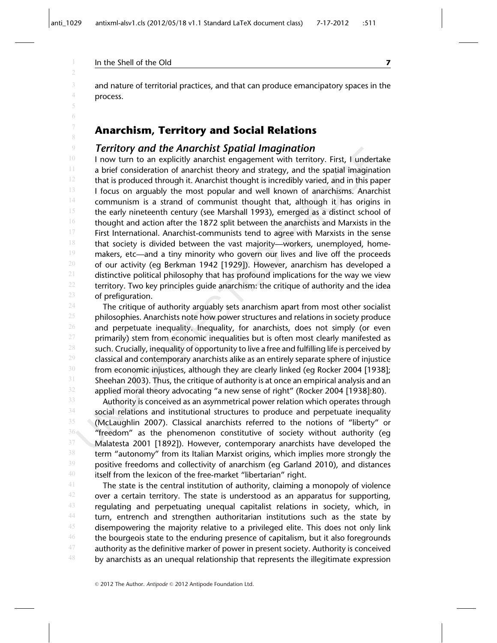43

45 46 47 and nature of territorial practices, and that can produce emancipatory spaces in the process.

#### **Anarchism, Territory and Social Relations**

#### *Territory and the Anarchist Spatial Imagination*

10 11 12 13 14 15 16 17 18 19 20 22 23 I now turn to an explicitly anarchist engagement with territory. First, I undertake a brief consideration of anarchist theory and strategy, and the spatial imagination that is produced through it. Anarchist thought is incredibly varied, and in this paper I focus on arguably the most popular and well known of anarchisms. Anarchist communism is a strand of communist thought that, although it has origins in the early nineteenth century (see Marshall 1993), emerged as a distinct school of thought and action after the 1872 split between the anarchists and Marxists in the First International. Anarchist-communists tend to agree with Marxists in the sense that society is divided between the vast majority—workers, unemployed, homemakers, etc—and a tiny minority who govern our lives and live off the proceeds of our activity (eg Berkman 1942 [1929]). However, anarchism has developed a distinctive political philosophy that has profound implications for the way we view territory. Two key principles guide anarchism: the critique of authority and the idea of prefiguration.

24  $25$ 26 27 28 29 31 33 The critique of authority arguably sets anarchism apart from most other socialist philosophies. Anarchists note how power structures and relations in society produce and perpetuate inequality. Inequality, for anarchists, does not simply (or even primarily) stem from economic inequalities but is often most clearly manifested as such. Crucially, inequality of opportunity to live a free and fulfilling life is perceived by classical and contemporary anarchists alike as an entirely separate sphere of injustice from economic injustices, although they are clearly linked (eg Rocker 2004 [1938]; Sheehan 2003). Thus, the critique of authority is at once an empirical analysis and an applied moral theory advocating "a new sense of right" (Rocker 2004 [1938]:80).

Authority is conceived as an asymmetrical power relation which operates through social relations and institutional structures to produce and perpetuate inequality (McLaughlin 2007). Classical anarchists referred to the notions of "liberty" or "freedom" as the phenomenon constitutive of society without authority (eg Malatesta 2001 [1892]). However, contemporary anarchists have developed the term "autonomy" from its Italian Marxist origins, which implies more strongly the positive freedoms and collectivity of anarchism (eg Garland 2010), and distances itself from the lexicon of the free-market "libertarian" right.

42 44 48 The state is the central institution of authority, claiming a monopoly of violence over a certain territory. The state is understood as an apparatus for supporting, regulating and perpetuating unequal capitalist relations in society, which, in turn, entrench and strengthen authoritarian institutions such as the state by disempowering the majority relative to a privileged elite. This does not only link the bourgeois state to the enduring presence of capitalism, but it also foregrounds authority as the definitive marker of power in present society. Authority is conceived by anarchists as an unequal relationship that represents the illegitimate expression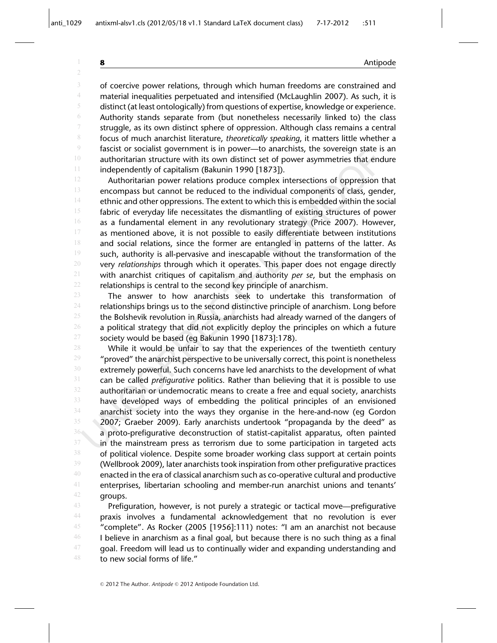3 7 8 9 10 11 of coercive power relations, through which human freedoms are constrained and material inequalities perpetuated and intensified (McLaughlin 2007). As such, it is distinct (at least ontologically) from questions of expertise, knowledge or experience. Authority stands separate from (but nonetheless necessarily linked to) the class struggle, as its own distinct sphere of oppression. Although class remains a central focus of much anarchist literature, *theoretically speaking*, it matters little whether a fascist or socialist government is in power—to anarchists, the sovereign state is an authoritarian structure with its own distinct set of power asymmetries that endure independently of capitalism (Bakunin 1990 [1873]).

12 13 14 15 16 17 18 19 20 21 22 Authoritarian power relations produce complex intersections of oppression that encompass but cannot be reduced to the individual components of class, gender, ethnic and other oppressions. The extent to which this is embedded within the social fabric of everyday life necessitates the dismantling of existing structures of power as a fundamental element in any revolutionary strategy (Price 2007). However, as mentioned above, it is not possible to easily differentiate between institutions and social relations, since the former are entangled in patterns of the latter. As such, authority is all-pervasive and inescapable without the transformation of the very *relationships* through which it operates. This paper does not engage directly with anarchist critiques of capitalism and authority *per se*, but the emphasis on relationships is central to the second key principle of anarchism.

23 24 25 26 27 The answer to how anarchists seek to undertake this transformation of relationships brings us to the second distinctive principle of anarchism. Long before the Bolshevik revolution in Russia, anarchists had already warned of the dangers of a political strategy that did not explicitly deploy the principles on which a future society would be based (eg Bakunin 1990 [1873]:178).

28 29 30 31 32 33 34 35  $36<$ 37 38 39 40 41 42 While it would be unfair to say that the experiences of the twentieth century "proved" the anarchist perspective to be universally correct, this point is nonetheless extremely powerful. Such concerns have led anarchists to the development of what can be called *prefigurative* politics. Rather than believing that it is possible to use authoritarian or undemocratic means to create a free and equal society, anarchists have developed ways of embedding the political principles of an envisioned anarchist society into the ways they organise in the here-and-now (eg Gordon 2007; Graeber 2009). Early anarchists undertook "propaganda by the deed" as a proto-prefigurative deconstruction of statist-capitalist apparatus, often painted in the mainstream press as terrorism due to some participation in targeted acts of political violence. Despite some broader working class support at certain points (Wellbrook 2009), later anarchists took inspiration from other prefigurative practices enacted in the era of classical anarchism such as co-operative cultural and productive enterprises, libertarian schooling and member-run anarchist unions and tenants' groups.

43 44 45 46 47 48 Prefiguration, however, is not purely a strategic or tactical move—prefigurative praxis involves a fundamental acknowledgement that no revolution is ever "complete". As Rocker (2005 [1956]:111) notes: "I am an anarchist not because I believe in anarchism as a final goal, but because there is no such thing as a final goal. Freedom will lead us to continually wider and expanding understanding and to new social forms of life."

1 2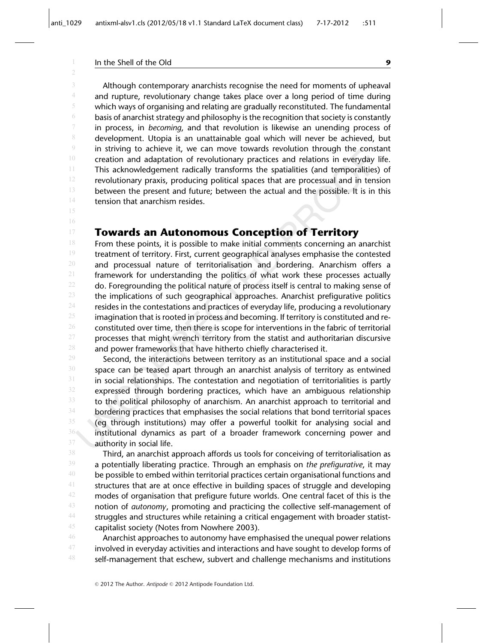Although contemporary anarchists recognise the need for moments of upheaval and rupture, revolutionary change takes place over a long period of time during which ways of organising and relating are gradually reconstituted. The fundamental basis of anarchist strategy and philosophy is the recognition that society is constantly in process, in *becoming*, and that revolution is likewise an unending process of development. Utopia is an unattainable goal which will never be achieved, but in striving to achieve it, we can move towards revolution through the constant creation and adaptation of revolutionary practices and relations in everyday life. This acknowledgement radically transforms the spatialities (and temporalities) of revolutionary praxis, producing political spaces that are processual and in tension between the present and future; between the actual and the possible. It is in this tension that anarchism resides.

14 15 16

17

29

31

33 34 35

37

41 42

45

#### **Towards an Autonomous Conception of Territory**

18 19 20 22 23 24  $25$ 26 27 28 From these points, it is possible to make initial comments concerning an anarchist treatment of territory. First, current geographical analyses emphasise the contested and processual nature of territorialisation and bordering. Anarchism offers a framework for understanding the politics of what work these processes actually do. Foregrounding the political nature of process itself is central to making sense of the implications of such geographical approaches. Anarchist prefigurative politics resides in the contestations and practices of everyday life, producing a revolutionary imagination that is rooted in process and becoming. If territory is constituted and reconstituted over time, then there is scope for interventions in the fabric of territorial processes that might wrench territory from the statist and authoritarian discursive and power frameworks that have hitherto chiefly characterised it.

36 Second, the interactions between territory as an institutional space and a social space can be teased apart through an anarchist analysis of territory as entwined in social relationships. The contestation and negotiation of territorialities is partly expressed through bordering practices, which have an ambiguous relationship to the political philosophy of anarchism. An anarchist approach to territorial and bordering practices that emphasises the social relations that bond territorial spaces (eg through institutions) may offer a powerful toolkit for analysing social and institutional dynamics as part of a broader framework concerning power and authority in social life.

38 39 40 43 44 Third, an anarchist approach affords us tools for conceiving of territorialisation as a potentially liberating practice. Through an emphasis on *the prefigurative*, it may be possible to embed within territorial practices certain organisational functions and structures that are at once effective in building spaces of struggle and developing modes of organisation that prefigure future worlds. One central facet of this is the notion of *autonomy*, promoting and practicing the collective self-management of struggles and structures while retaining a critical engagement with broader statistcapitalist society (Notes from Nowhere 2003).

47 48 Anarchist approaches to autonomy have emphasised the unequal power relations involved in everyday activities and interactions and have sought to develop forms of self-management that eschew, subvert and challenge mechanisms and institutions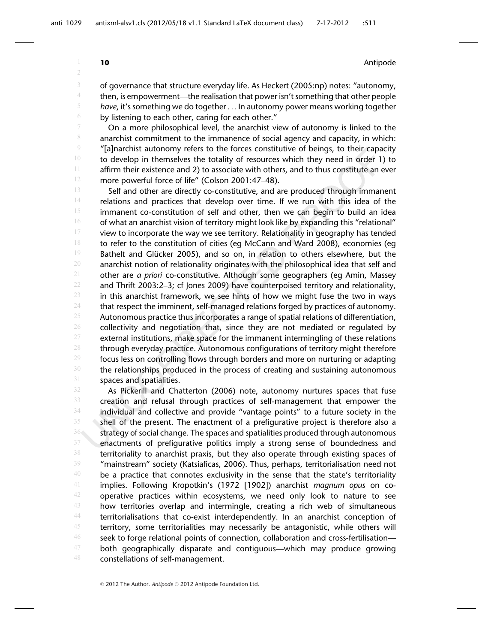of governance that structure everyday life. As Heckert (2005:np) notes: "autonomy, then, is empowerment—the realisation that power isn't something that other people *have*, it's something we do together... In autonomy power means working together by listening to each other, caring for each other."

On a more philosophical level, the anarchist view of autonomy is linked to the anarchist commitment to the immanence of social agency and capacity, in which: "[a]narchist autonomy refers to the forces constitutive of beings, to their capacity to develop in themselves the totality of resources which they need in order 1) to affirm their existence and 2) to associate with others, and to thus constitute an ever more powerful force of life" (Colson 2001:47–48).

13 14 15 16 17 18 19 20 21 22 23 24 25 26 27 28 29 30 31 Self and other are directly co-constitutive, and are produced through immanent relations and practices that develop over time. If we run with this idea of the immanent co-constitution of self and other, then we can begin to build an idea of what an anarchist vision of territory might look like by expanding this "relational" view to incorporate the way we see territory. Relationality in geography has tended to refer to the constitution of cities (eg McCann and Ward 2008), economies (eg Bathelt and Glücker 2005), and so on, in relation to others elsewhere, but the anarchist notion of relationality originates with the philosophical idea that self and other are *a priori* co-constitutive. Although some geographers (eg Amin, Massey and Thrift 2003:2–3; cf Jones 2009) have counterpoised territory and relationality, in this anarchist framework, we see hints of how we might fuse the two in ways that respect the imminent, self-managed relations forged by practices of autonomy. Autonomous practice thus incorporates a range of spatial relations of differentiation, collectivity and negotiation that, since they are not mediated or regulated by external institutions, make space for the immanent intermingling of these relations through everyday practice. Autonomous configurations of territory might therefore focus less on controlling flows through borders and more on nurturing or adapting the relationships produced in the process of creating and sustaining autonomous spaces and spatialities.

32 33 34 35 36 37 38 39 40 41 42 43 44 45 46 47 48 As Pickerill and Chatterton (2006) note, autonomy nurtures spaces that fuse creation and refusal through practices of self-management that empower the individual and collective and provide "vantage points" to a future society in the shell of the present. The enactment of a prefigurative project is therefore also a strategy of social change. The spaces and spatialities produced through autonomous enactments of prefigurative politics imply a strong sense of boundedness and territoriality to anarchist praxis, but they also operate through existing spaces of "mainstream" society (Katsiaficas, 2006). Thus, perhaps, territorialisation need not be a practice that connotes exclusivity in the sense that the state's territoriality implies. Following Kropotkin's (1972 [1902]) anarchist *magnum opus* on cooperative practices within ecosystems, we need only look to nature to see how territories overlap and intermingle, creating a rich web of simultaneous territorialisations that co-exist interdependently. In an anarchist conception of territory, some territorialities may necessarily be antagonistic, while others will seek to forge relational points of connection, collaboration and cross-fertilisation both geographically disparate and contiguous—which may produce growing constellations of self-management.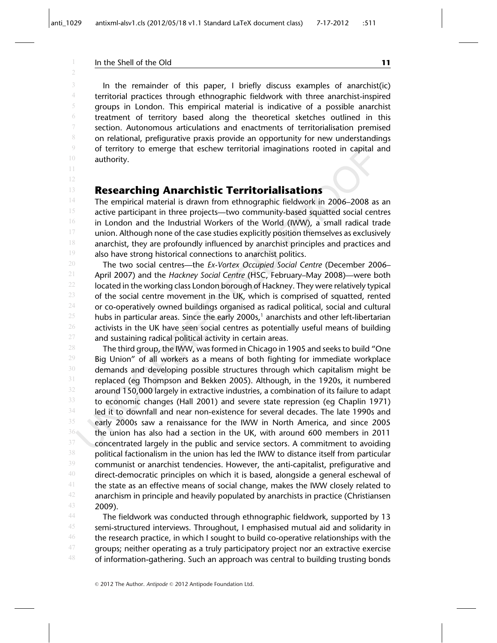In the remainder of this paper, I briefly discuss examples of anarchist(ic) territorial practices through ethnographic fieldwork with three anarchist-inspired groups in London. This empirical material is indicative of a possible anarchist treatment of territory based along the theoretical sketches outlined in this section. Autonomous articulations and enactments of territorialisation premised on relational, prefigurative praxis provide an opportunity for new understandings of territory to emerge that eschew territorial imaginations rooted in capital and authority.

10 11 12

13

#### **Researching Anarchistic Territorialisations**

14 15 16 17 18 19 The empirical material is drawn from ethnographic fieldwork in 2006–2008 as an active participant in three projects—two community-based squatted social centres in London and the Industrial Workers of the World (IWW), a small radical trade union. Although none of the case studies explicitly position themselves as exclusively anarchist, they are profoundly influenced by anarchist principles and practices and also have strong historical connections to anarchist politics.

20 22 23 24  $25$ 26 27 The two social centres—the *Ex-Vortex Occupied Social Centre* (December 2006– April 2007) and the *Hackney Social Centre* (HSC, February–May 2008)—were both located in the working class London borough of Hackney. They were relatively typical of the social centre movement in the UK, which is comprised of squatted, rented or co-operatively owned buildings organised as radical political, social and cultural hubs in particular areas. Since the early 2000s, $1$  anarchists and other left-libertarian activists in the UK have seen social centres as potentially useful means of building and sustaining radical political activity in certain areas.

28 29 31 33 34 35 36 37 38 39 40 41 42 43 The third group, the IWW, was formed in Chicago in 1905 and seeks to build "One Big Union" of all workers as a means of both fighting for immediate workplace demands and developing possible structures through which capitalism might be replaced (eg Thompson and Bekken 2005). Although, in the 1920s, it numbered around 150,000 largely in extractive industries, a combination of its failure to adapt to economic changes (Hall 2001) and severe state repression (eg Chaplin 1971) led it to downfall and near non-existence for several decades. The late 1990s and early 2000s saw a renaissance for the IWW in North America, and since 2005 the union has also had a section in the UK, with around 600 members in 2011 concentrated largely in the public and service sectors. A commitment to avoiding political factionalism in the union has led the IWW to distance itself from particular communist or anarchist tendencies. However, the anti-capitalist, prefigurative and direct-democratic principles on which it is based, alongside a general eschewal of the state as an effective means of social change, makes the IWW closely related to anarchism in principle and heavily populated by anarchists in practice (Christiansen 2009).

44 45 46 47 48 The fieldwork was conducted through ethnographic fieldwork, supported by 13 semi-structured interviews. Throughout, I emphasised mutual aid and solidarity in the research practice, in which I sought to build co-operative relationships with the groups; neither operating as a truly participatory project nor an extractive exercise of information-gathering. Such an approach was central to building trusting bonds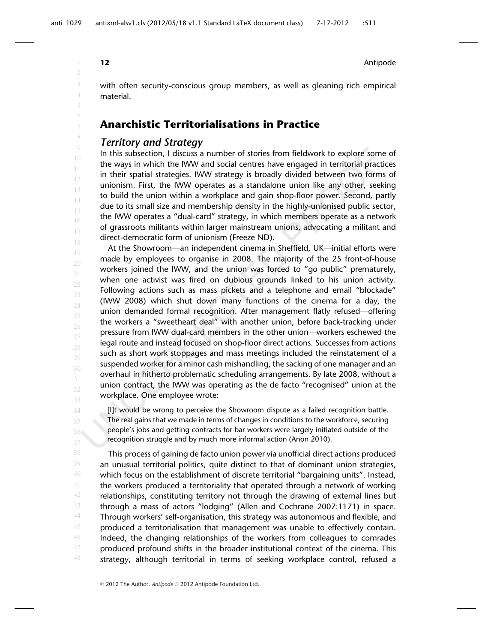with often security-conscious group members, as well as gleaning rich empirical material.

#### **Anarchistic Territorialisations in Practice**

#### *Territory and Strategy*

In this subsection, I discuss a number of stories from fieldwork to explore some of the ways in which the IWW and social centres have engaged in territorial practices in their spatial strategies. IWW strategy is broadly divided between two forms of unionism. First, the IWW operates as a standalone union like any other, seeking to build the union within a workplace and gain shop-floor power. Second, partly due to its small size and membership density in the highly-unionised public sector, the IWW operates a "dual-card" strategy, in which members operate as a network of grassroots militants within larger mainstream unions, advocating a militant and direct-democratic form of unionism (Freeze ND).

At the Showroom—an independent cinema in Sheffield, UK—initial efforts were made by employees to organise in 2008. The majority of the 25 front-of-house workers joined the IWW, and the union was forced to "go public" prematurely, when one activist was fired on dubious grounds linked to his union activity. Following actions such as mass pickets and a telephone and email "blockade" (IWW 2008) which shut down many functions of the cinema for a day, the union demanded formal recognition. After management flatly refused—offering the workers a "sweetheart deal" with another union, before back-tracking under pressure from IWW dual-card members in the other union—workers eschewed the legal route and instead focused on shop-floor direct actions. Successes from actions such as short work stoppages and mass meetings included the reinstatement of a suspended worker for a minor cash mishandling, the sacking of one manager and an overhaul in hitherto problematic scheduling arrangements. By late 2008, without a union contract, the IWW was operating as the de facto "recognised" union at the workplace. One employee wrote:

[I]t would be wrong to perceive the Showroom dispute as a failed recognition battle. The real gains that we made in terms of changes in conditions to the workforce, securing people's jobs and getting contracts for bar workers were largely initiated outside of the recognition struggle and by much more informal action (Anon 2010).

48 This process of gaining de facto union power via unofficial direct actions produced an unusual territorial politics, quite distinct to that of dominant union strategies, which focus on the establishment of discrete territorial "bargaining units". Instead, the workers produced a territoriality that operated through a network of working relationships, constituting territory not through the drawing of external lines but through a mass of actors "lodging" (Allen and Cochrane 2007:1171) in space. Through workers' self-organisation, this strategy was autonomous and flexible, and produced a territorialisation that management was unable to effectively contain. Indeed, the changing relationships of the workers from colleagues to comrades produced profound shifts in the broader institutional context of the cinema. This strategy, although territorial in terms of seeking workplace control, refused a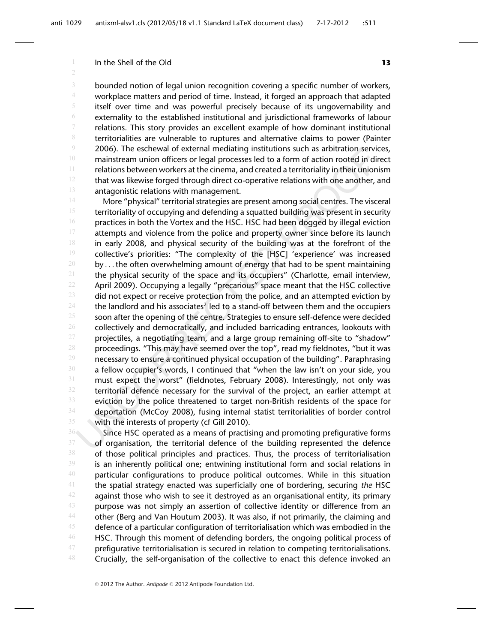1 2

3 4 5 6 7 8 9 10 11 12 13 bounded notion of legal union recognition covering a specific number of workers, workplace matters and period of time. Instead, it forged an approach that adapted itself over time and was powerful precisely because of its ungovernability and externality to the established institutional and jurisdictional frameworks of labour relations. This story provides an excellent example of how dominant institutional territorialities are vulnerable to ruptures and alternative claims to power (Painter 2006). The eschewal of external mediating institutions such as arbitration services, mainstream union officers or legal processes led to a form of action rooted in direct relations between workers at the cinema, and created a territoriality in their unionism that was likewise forged through direct co-operative relations with one another, and antagonistic relations with management.

14 15 16 17 18 19 20 22 23 24  $25$ 26 27 28 29 31 33 34 35 More "physical" territorial strategies are present among social centres. The visceral territoriality of occupying and defending a squatted building was present in security practices in both the Vortex and the HSC. HSC had been dogged by illegal eviction attempts and violence from the police and property owner since before its launch in early 2008, and physical security of the building was at the forefront of the collective's priorities: "The complexity of the [HSC] 'experience' was increased by ...the often overwhelming amount of energy that had to be spent maintaining the physical security of the space and its occupiers" (Charlotte, email interview, April 2009). Occupying a legally "precarious" space meant that the HSC collective did not expect or receive protection from the police, and an attempted eviction by the landlord and his associates<sup>2</sup> led to a stand-off between them and the occupiers soon after the opening of the centre. Strategies to ensure self-defence were decided collectively and democratically, and included barricading entrances, lookouts with projectiles, a negotiating team, and a large group remaining off-site to "shadow" proceedings. "This may have seemed over the top", read my fieldnotes, "but it was necessary to ensure a continued physical occupation of the building". Paraphrasing a fellow occupier's words, I continued that "when the law isn't on your side, you must expect the worst" (fieldnotes, February 2008). Interestingly, not only was territorial defence necessary for the survival of the project, an earlier attempt at eviction by the police threatened to target non-British residents of the space for deportation (McCoy 2008), fusing internal statist territorialities of border control with the interests of property (cf Gill 2010).

36 37 38 39 40 41 42 43 44 45 46 47 48 Since HSC operated as a means of practising and promoting prefigurative forms of organisation, the territorial defence of the building represented the defence of those political principles and practices. Thus, the process of territorialisation is an inherently political one; entwining institutional form and social relations in particular configurations to produce political outcomes. While in this situation the spatial strategy enacted was superficially one of bordering, securing *the* HSC against those who wish to see it destroyed as an organisational entity, its primary purpose was not simply an assertion of collective identity or difference from an other (Berg and Van Houtum 2003). It was also, if not primarily, the claiming and defence of a particular configuration of territorialisation which was embodied in the HSC. Through this moment of defending borders, the ongoing political process of prefigurative territorialisation is secured in relation to competing territorialisations. Crucially, the self-organisation of the collective to enact this defence invoked an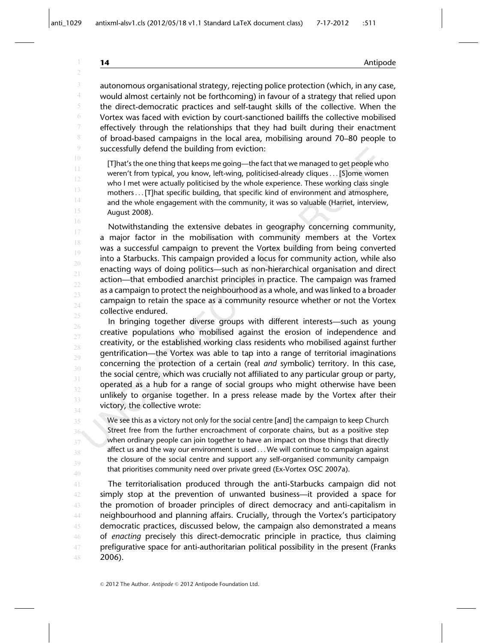autonomous organisational strategy, rejecting police protection (which, in any case, would almost certainly not be forthcoming) in favour of a strategy that relied upon the direct-democratic practices and self-taught skills of the collective. When the Vortex was faced with eviction by court-sanctioned bailiffs the collective mobilised effectively through the relationships that they had built during their enactment of broad-based campaigns in the local area, mobilising around 70–80 people to successfully defend the building from eviction:

[T]hat's the one thing that keeps me going—the fact that we managed to get people who weren't from typical, you know, left-wing, politicised-already cliques... [S]ome women who I met were actually politicised by the whole experience. These working class single mothers... [T]hat specific building, that specific kind of environment and atmosphere, and the whole engagement with the community, it was so valuable (Harriet, interview, August 2008).

Notwithstanding the extensive debates in geography concerning community, a major factor in the mobilisation with community members at the Vortex was a successful campaign to prevent the Vortex building from being converted into a Starbucks. This campaign provided a locus for community action, while also enacting ways of doing politics—such as non-hierarchical organisation and direct action—that embodied anarchist principles in practice. The campaign was framed as a campaign to protect the neighbourhood as a whole, and was linked to a broader campaign to retain the space as a community resource whether or not the Vortex collective endured.

In bringing together diverse groups with different interests—such as young creative populations who mobilised against the erosion of independence and creativity, or the established working class residents who mobilised against further gentrification—the Vortex was able to tap into a range of territorial imaginations concerning the protection of a certain (real *and* symbolic) territory. In this case, the social centre, which was crucially not affiliated to any particular group or party, operated as a hub for a range of social groups who might otherwise have been unlikely to organise together. In a press release made by the Vortex after their victory, the collective wrote:

We see this as a victory not only for the social centre [and] the campaign to keep Church Street free from the further encroachment of corporate chains, but as a positive step when ordinary people can join together to have an impact on those things that directly affect us and the way our environment is used ... We will continue to campaign against the closure of the social centre and support any self-organised community campaign that prioritises community need over private greed (Ex-Vortex OSC 2007a).

48 The territorialisation produced through the anti-Starbucks campaign did not simply stop at the prevention of unwanted business—it provided a space for the promotion of broader principles of direct democracy and anti-capitalism in neighbourhood and planning affairs. Crucially, through the Vortex's participatory democratic practices, discussed below, the campaign also demonstrated a means of *enacting* precisely this direct-democratic principle in practice, thus claiming prefigurative space for anti-authoritarian political possibility in the present (Franks 2006).

1

> 37 38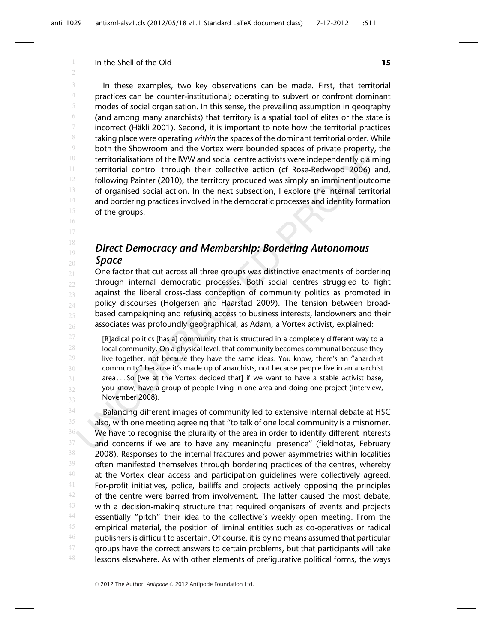In these examples, two key observations can be made. First, that territorial practices can be counter-institutional; operating to subvert or confront dominant modes of social organisation. In this sense, the prevailing assumption in geography (and among many anarchists) that territory is a spatial tool of elites or the state is incorrect (Häkli 2001). Second, it is important to note how the territorial practices taking place were operating *within* the spaces of the dominant territorial order. While both the Showroom and the Vortex were bounded spaces of private property, the territorialisations of the IWW and social centre activists were independently claiming territorial control through their collective action (cf Rose-Redwood 2006) and, following Painter (2010), the territory produced was simply an imminent outcome of organised social action. In the next subsection, I explore the internal territorial and bordering practices involved in the democratic processes and identity formation of the groups.

15 16 17

18 19 20

27 28 29

### *Direct Democracy and Membership: Bordering Autonomous Space*

22  $2<sup>3</sup>$ 24 25 26 One factor that cut across all three groups was distinctive enactments of bordering through internal democratic processes. Both social centres struggled to fight against the liberal cross-class conception of community politics as promoted in policy discourses (Holgersen and Haarstad 2009). The tension between broadbased campaigning and refusing access to business interests, landowners and their associates was profoundly geographical, as Adam, a Vortex activist, explained:

[R]adical politics [has a] community that is structured in a completely different way to a local community. On a physical level, that community becomes communal because they live together, not because they have the same ideas. You know, there's an "anarchist community" because it's made up of anarchists, not because people live in an anarchist area ... So [we at the Vortex decided that] if we want to have a stable activist base, you know, have a group of people living in one area and doing one project (interview, November 2008).

36 Balancing different images of community led to extensive internal debate at HSC also, with one meeting agreeing that "to talk of one local community is a misnomer. We have to recognise the plurality of the area in order to identify different interests and concerns if we are to have any meaningful presence" (fieldnotes, February 2008). Responses to the internal fractures and power asymmetries within localities often manifested themselves through bordering practices of the centres, whereby at the Vortex clear access and participation guidelines were collectively agreed. For-profit initiatives, police, bailiffs and projects actively opposing the principles of the centre were barred from involvement. The latter caused the most debate, with a decision-making structure that required organisers of events and projects essentially "pitch" their idea to the collective's weekly open meeting. From the empirical material, the position of liminal entities such as co-operatives or radical publishers is difficult to ascertain. Of course, it is by no means assumed that particular groups have the correct answers to certain problems, but that participants will take lessons elsewhere. As with other elements of prefigurative political forms, the ways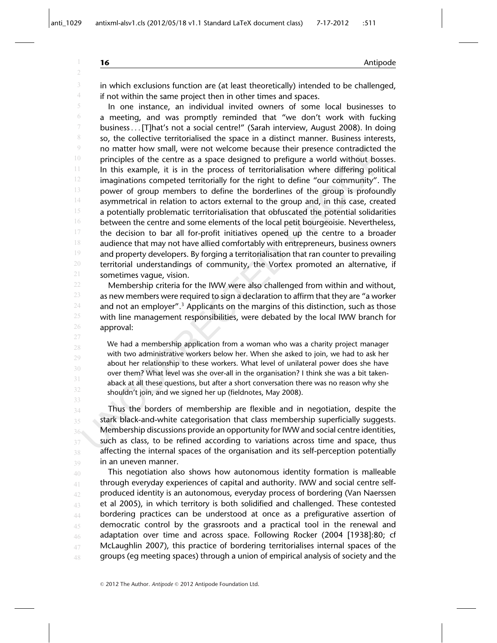15

17

47

in which exclusions function are (at least theoretically) intended to be challenged, if not within the same project then in other times and spaces.

14 16 18 In one instance, an individual invited owners of some local businesses to a meeting, and was promptly reminded that "we don't work with fucking business... [T]hat's not a social centre!" (Sarah interview, August 2008). In doing so, the collective territorialised the space in a distinct manner. Business interests, no matter how small, were not welcome because their presence contradicted the principles of the centre as a space designed to prefigure a world without bosses. In this example, it is in the process of territorialisation where differing political imaginations competed territorially for the right to define "our community". The power of group members to define the borderlines of the group is profoundly asymmetrical in relation to actors external to the group and, in this case, created a potentially problematic territorialisation that obfuscated the potential solidarities between the centre and some elements of the local petit bourgeoisie. Nevertheless, the decision to bar all for-profit initiatives opened up the centre to a broader audience that may not have allied comfortably with entrepreneurs, business owners and property developers. By forging a territorialisation that ran counter to prevailing territorial understandings of community, the Vortex promoted an alternative, if sometimes vague, vision.

Membership criteria for the IWW were also challenged from within and without, as new members were required to sign a declaration to affirm that they are "a worker and not an employer". $3$  Applicants on the margins of this distinction, such as those with line management responsibilities, were debated by the local IWW branch for approval:

We had a membership application from a woman who was a charity project manager with two administrative workers below her. When she asked to join, we had to ask her about her relationship to these workers. What level of unilateral power does she have over them? What level was she over-all in the organisation? I think she was a bit takenaback at all these questions, but after a short conversation there was no reason why she shouldn't join, and we signed her up (fieldnotes, May 2008).

Thus the borders of membership are flexible and in negotiation, despite the stark black-and-white categorisation that class membership superficially suggests. Membership discussions provide an opportunity for IWW and social centre identities, such as class, to be refined according to variations across time and space, thus affecting the internal spaces of the organisation and its self-perception potentially in an uneven manner.

48 This negotiation also shows how autonomous identity formation is malleable through everyday experiences of capital and authority. IWW and social centre selfproduced identity is an autonomous, everyday process of bordering (Van Naerssen et al 2005), in which territory is both solidified and challenged. These contested bordering practices can be understood at once as a prefigurative assertion of democratic control by the grassroots and a practical tool in the renewal and adaptation over time and across space. Following Rocker (2004 [1938]:80; cf McLaughlin 2007), this practice of bordering territorialises internal spaces of the groups (eg meeting spaces) through a union of empirical analysis of society and the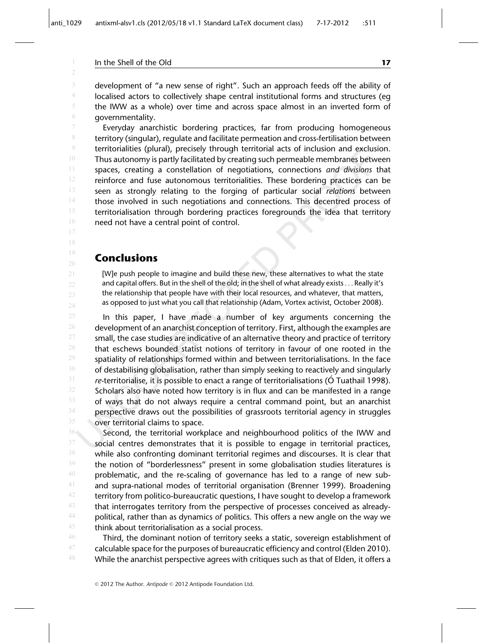Everyday anarchistic bordering practices, far from producing homogeneous territory (singular), regulate and facilitate permeation and cross-fertilisation between territorialities (plural), precisely through territorial acts of inclusion and exclusion. Thus autonomy is partly facilitated by creating such permeable membranes between spaces, creating a constellation of negotiations, connections *and divisions* that reinforce and fuse autonomous territorialities. These bordering practices can be seen as strongly relating to the forging of particular social *relations* between those involved in such negotiations and connections. This decentred process of territorialisation through bordering practices foregrounds the idea that territory need not have a central point of control.

17 18

20

22  $23$ 24

#### **Conclusions**

[W]e push people to imagine and build these new, these alternatives to what the state and capital offers. But in the shell of the old; in the shell of what already exists... Really it's the relationship that people have with their local resources, and whatever, that matters, as opposed to just what you call that relationship (Adam, Vortex activist, October 2008).

 $25$ 26 27 28 29 31 33 34 35 In this paper, I have made a number of key arguments concerning the development of an anarchist conception of territory. First, although the examples are small, the case studies are indicative of an alternative theory and practice of territory that eschews bounded statist notions of territory in favour of one rooted in the spatiality of relationships formed within and between territorialisations. In the face of destabilising globalisation, rather than simply seeking to reactively and singularly *re*-territorialise, it is possible to enact a range of territorialisations (O Tuathail 1998). Scholars also have noted how territory is in flux and can be manifested in a range of ways that do not always require a central command point, but an anarchist perspective draws out the possibilities of grassroots territorial agency in struggles over territorial claims to space.

36 Second, the territorial workplace and neighbourhood politics of the IWW and social centres demonstrates that it is possible to engage in territorial practices, while also confronting dominant territorial regimes and discourses. It is clear that the notion of "borderlessness" present in some globalisation studies literatures is problematic, and the re-scaling of governance has led to a range of new suband supra-national modes of territorial organisation (Brenner 1999). Broadening territory from politico-bureaucratic questions, I have sought to develop a framework that interrogates territory from the perspective of processes conceived as alreadypolitical, rather than as dynamics *of* politics. This offers a new angle on the way we think about territorialisation as a social process.

46 47 48 Third, the dominant notion of territory seeks a static, sovereign establishment of calculable space for the purposes of bureaucratic efficiency and control (Elden 2010). While the anarchist perspective agrees with critiques such as that of Elden, it offers a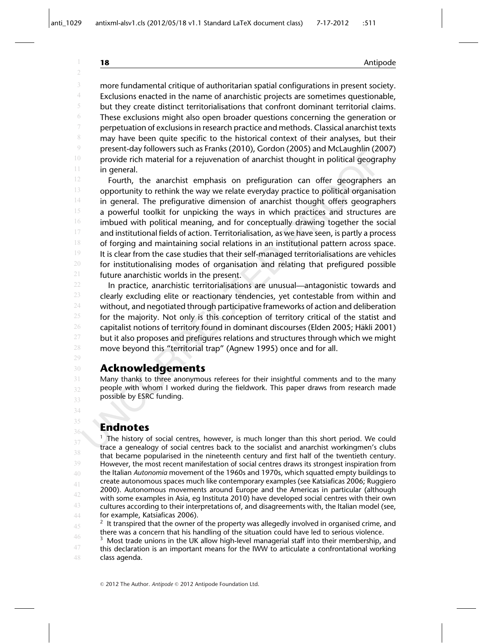more fundamental critique of authoritarian spatial configurations in present society. Exclusions enacted in the name of anarchistic projects are sometimes questionable, but they create distinct territorialisations that confront dominant territorial claims. These exclusions might also open broader questions concerning the generation or perpetuation of exclusions in research practice and methods. Classical anarchist texts may have been quite specific to the historical context of their analyses, but their present-day followers such as Franks (2010), Gordon (2005) and McLaughlin (2007) provide rich material for a rejuvenation of anarchist thought in political geography in general.

12 14 16 18 Fourth, the anarchist emphasis on prefiguration can offer geographers an opportunity to rethink the way we relate everyday practice to political organisation in general. The prefigurative dimension of anarchist thought offers geographers a powerful toolkit for unpicking the ways in which practices and structures are imbued with political meaning, and for conceptually drawing together the social and institutional fields of action. Territorialisation, as we have seen, is partly a process of forging and maintaining social relations in an institutional pattern across space. It is clear from the case studies that their self-managed territorialisations are vehicles for institutionalising modes of organisation and relating that prefigured possible future anarchistic worlds in the present.

In practice, anarchistic territorialisations are unusual—antagonistic towards and clearly excluding elite or reactionary tendencies, yet contestable from within and without, and negotiated through participative frameworks of action and deliberation for the majority. Not only is this conception of territory critical of the statist and capitalist notions of territory found in dominant discourses (Elden 2005; Hakli 2001) ¨ but it also proposes and prefigures relations and structures through which we might move beyond this "territorial trap" (Agnew 1995) once and for all.

#### **Acknowledgements**

Many thanks to three anonymous referees for their insightful comments and to the many people with whom I worked during the fieldwork. This paper draws from research made possible by ESRC funding.

**Endnotes**

<sup>1</sup> The history of social centres, however, is much longer than this short period. We could trace a genealogy of social centres back to the socialist and anarchist workingmen's clubs that became popularised in the nineteenth century and first half of the twentieth century. However, the most recent manifestation of social centres draws its strongest inspiration from the Italian *Autonomia* movement of the 1960s and 1970s, which squatted empty buildings to create autonomous spaces much like contemporary examples (see Katsiaficas 2006; Ruggiero 2000). Autonomous movements around Europe and the Americas in particular (although with some examples in Asia, eg Instituta 2010) have developed social centres with their own cultures according to their interpretations of, and disagreements with, the Italian model (see, for example, Katsiaficas 2006).

45  $2$  It transpired that the owner of the property was allegedly involved in organised crime, and there was a concern that his handling of the situation could have led to serious violence.

46  $3$  Most trade unions in the UK allow high-level managerial staff into their membership, and

47 48 this declaration is an important means for the IWW to articulate a confrontational working class agenda.

13

15

17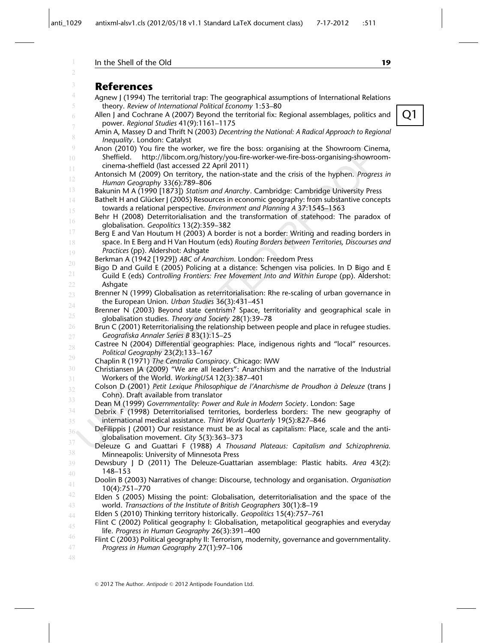| In the Shell of the Old                                                                                                                                             | 19 |
|---------------------------------------------------------------------------------------------------------------------------------------------------------------------|----|
|                                                                                                                                                                     |    |
| <b>References</b>                                                                                                                                                   |    |
| Agnew J (1994) The territorial trap: The geographical assumptions of International Relations                                                                        |    |
| theory. Review of International Political Economy 1:53-80                                                                                                           |    |
| Allen J and Cochrane A (2007) Beyond the territorial fix: Regional assemblages, politics and                                                                        |    |
| power. Regional Studies 41(9):1161-1175                                                                                                                             |    |
| Amin A, Massey D and Thrift N (2003) Decentring the National: A Radical Approach to Regional                                                                        |    |
| Inequality. London: Catalyst                                                                                                                                        |    |
| Anon (2010) You fire the worker, we fire the boss: organising at the Showroom Cinema,                                                                               |    |
| http://libcom.org/history/you-fire-worker-we-fire-boss-organising-showroom-<br>Sheffield.                                                                           |    |
| cinema-sheffield (last accessed 22 April 2011)                                                                                                                      |    |
| Antonsich M (2009) On territory, the nation-state and the crisis of the hyphen. Progress in                                                                         |    |
| Human Geography 33(6):789-806                                                                                                                                       |    |
| Bakunin M A (1990 [1873]) Statism and Anarchy. Cambridge: Cambridge University Press                                                                                |    |
| Bathelt H and Glücker J (2005) Resources in economic geography: from substantive concepts                                                                           |    |
| towards a relational perspective. Environment and Planning A 37:1545-1563<br>Behr H (2008) Deterritorialisation and the transformation of statehood: The paradox of |    |
| globalisation. Geopolitics 13(2):359-382                                                                                                                            |    |
| Berg E and Van Houtum H (2003) A border is not a border: Writing and reading borders in                                                                             |    |
| space. In E Berg and H Van Houtum (eds) Routing Borders between Territories, Discourses and                                                                         |    |
| Practices (pp). Aldershot: Ashqate                                                                                                                                  |    |
| Berkman A (1942 [1929]) ABC of Anarchism. London: Freedom Press                                                                                                     |    |
| Bigo D and Guild E (2005) Policing at a distance: Schengen visa policies. In D Bigo and E                                                                           |    |
| Guild E (eds) Controlling Frontiers: Free Movement Into and Within Europe (pp). Aldershot:                                                                          |    |
| Ashgate                                                                                                                                                             |    |
| Brenner N (1999) Globalisation as reterritorialisation: Rhe re-scaling of urban governance in                                                                       |    |
| the European Union. Urban Studies 36(3):431-451                                                                                                                     |    |
| Brenner N (2003) Beyond state centrism? Space, territoriality and geographical scale in                                                                             |    |
| globalisation studies. Theory and Society 28(1):39-78                                                                                                               |    |
| Brun C (2001) Reterritorialising the relationship between people and place in refugee studies.                                                                      |    |
| Geografiska Annaler Series B 83(1):15-25<br>Castree N (2004) Differential geographies: Place, indigenous rights and "local" resources.                              |    |
| Political Geography 23(2):133-167                                                                                                                                   |    |
| Chaplin R (1971) The Centralia Conspiracy. Chicago: IWW                                                                                                             |    |
| Christiansen JA (2009) "We are all leaders": Anarchism and the narrative of the Industrial                                                                          |    |
| Workers of the World. WorkingUSA 12(3):387-401                                                                                                                      |    |
| Colson D (2001) Petit Lexique Philosophique de l'Anarchisme de Proudhon à Deleuze (trans J                                                                          |    |
| Cohn). Draft available from translator                                                                                                                              |    |
| Dean M (1999) Governmentality: Power and Rule in Modern Society. London: Sage                                                                                       |    |
| Debrix F (1998) Deterritorialised territories, borderless borders: The new geography of                                                                             |    |
| international medical assistance. Third World Quarterly 19(5):827-846                                                                                               |    |
| DeFilippis J (2001) Our resistance must be as local as capitalism: Place, scale and the anti-                                                                       |    |
| globalisation movement. City 5(3):363-373                                                                                                                           |    |
| Deleuze G and Guattari F (1988) A Thousand Plateaus: Capitalism and Schizophrenia.                                                                                  |    |
| Minneapolis: University of Minnesota Press                                                                                                                          |    |
| Dewsbury J D (2011) The Deleuze-Guattarian assemblage: Plastic habits. Area 43(2):                                                                                  |    |
| 148-153                                                                                                                                                             |    |
| Doolin B (2003) Narratives of change: Discourse, technology and organisation. Organisation<br>10(4):751-770                                                         |    |
| Elden S (2005) Missing the point: Globalisation, deterritorialisation and the space of the                                                                          |    |
| world. Transactions of the Institute of British Geographers 30(1):8-19                                                                                              |    |
| Elden S (2010) Thinking territory historically. Geopolitics 15(4):757-761                                                                                           |    |
| Flint C (2002) Political geography I: Globalisation, metapolitical geographies and everyday                                                                         |    |
| life. Progress in Human Geography 26(3):391-400                                                                                                                     |    |
|                                                                                                                                                                     |    |

46 47 Flint C (2003) Political geography II: Terrorism, modernity, governance and governmentality. *Progress in Human Geography* 27(1):97–106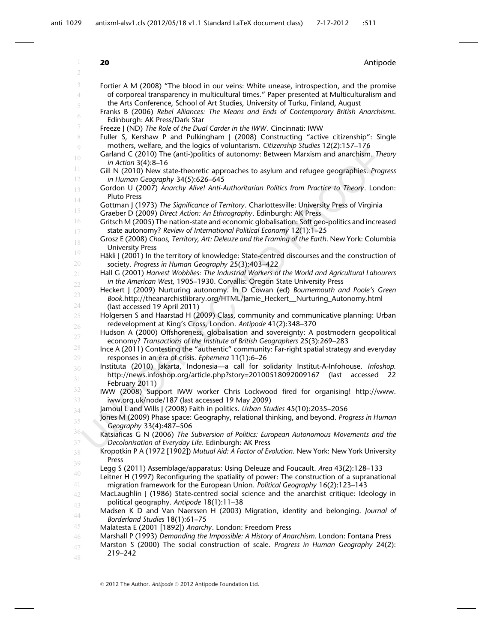| Antipode<br>20                                                                                                                                                                                                                                                             |
|----------------------------------------------------------------------------------------------------------------------------------------------------------------------------------------------------------------------------------------------------------------------------|
|                                                                                                                                                                                                                                                                            |
| Fortier A M (2008) "The blood in our veins: White unease, introspection, and the promise<br>of corporeal transparency in multicultural times." Paper presented at Multiculturalism and<br>the Arts Conference, School of Art Studies, University of Turku, Finland, August |
| Franks B (2006) Rebel Alliances: The Means and Ends of Contemporary British Anarchisms.<br>Edinburgh: AK Press/Dark Star                                                                                                                                                   |
| Freeze J (ND) The Role of the Dual Carder in the IWW. Cincinnati: IWW<br>Fuller S, Kershaw P and Pulkingham J (2008) Constructing "active citizenship": Single<br>mothers, welfare, and the logics of voluntarism. Citizenship Studies 12(2):157-176                       |
| Garland C (2010) The (anti-)politics of autonomy: Between Marxism and anarchism. Theory<br>in Action 3(4):8-16                                                                                                                                                             |
| Gill N (2010) New state-theoretic approaches to asylum and refugee geographies. Progress<br>in Human Geography 34(5):626-645                                                                                                                                               |
| Gordon U (2007) Anarchy Alive! Anti-Authoritarian Politics from Practice to Theory. London:<br><b>Pluto Press</b>                                                                                                                                                          |
| Gottman J (1973) The Significance of Territory. Charlottesville: University Press of Virginia<br>Graeber D (2009) Direct Action: An Ethnography. Edinburgh: AK Press                                                                                                       |
| Gritsch M (2005) The nation-state and economic globalisation: Soft geo-politics and increased<br>state autonomy? Review of International Political Economy 12(1):1-25                                                                                                      |
| Grosz E (2008) Chaos, Territory, Art: Deleuze and the Framing of the Earth. New York: Columbia<br><b>University Press</b>                                                                                                                                                  |
| Häkli J (2001) In the territory of knowledge: State-centred discourses and the construction of<br>society. Progress in Human Geography 25(3):403-422                                                                                                                       |
| Hall G (2001) Harvest Wobblies: The Industrial Workers of the World and Agricultural Labourers<br>in the American West, 1905-1930. Corvallis: Oregon State University Press                                                                                                |
| Heckert J (2009) Nurturing autonomy. In D Cowan (ed) Bournemouth and Poole's Green                                                                                                                                                                                         |
| Book.http://theanarchistlibrary.org/HTML/Jamie_Heckert__Nurturing_Autonomy.html<br>(last accessed 19 April 2011)                                                                                                                                                           |
| Holgersen S and Haarstad H (2009) Class, community and communicative planning: Urban<br>redevelopment at King's Cross, London. Antipode 41(2):348-370                                                                                                                      |
| Hudson A (2000) Offshoreness, globalisation and sovereignty: A postmodern geopolitical<br>economy? Transactions of the Institute of British Geographers 25(3):269-283                                                                                                      |
| Ince A (2011) Contesting the "authentic" community: Far-right spatial strategy and everyday<br>responses in an era of crisis. Ephemera 11(1):6-26                                                                                                                          |
| Instituta (2010) Jakarta, Indonesia-a call for solidarity Institut-A-Infohouse. Infoshop.<br>http://news.infoshop.org/article.php?story=20100518092009167 (last<br>accessed<br>22<br>February 2011)                                                                        |
| IWW (2008) Support IWW worker Chris Lockwood fired for organising! http://www.<br>iww.org.uk/node/187 (last accessed 19 May 2009)                                                                                                                                          |
| Jamoul L and Wills J (2008) Faith in politics. Urban Studies 45(10):2035-2056                                                                                                                                                                                              |
| Jones M (2009) Phase space: Geography, relational thinking, and beyond. Progress in Human<br>Geography 33(4):487-506                                                                                                                                                       |
| Katsiaficas G N (2006) The Subversion of Politics: European Autonomous Movements and the                                                                                                                                                                                   |
| Decolonisation of Everyday Life. Edinburgh: AK Press                                                                                                                                                                                                                       |
| Kropotkin P A (1972 [1902]) Mutual Aid: A Factor of Evolution. New York: New York University<br>Press                                                                                                                                                                      |
| Legg S (2011) Assemblage/apparatus: Using Deleuze and Foucault. Area 43(2):128-133<br>Leitner H (1997) Reconfiguring the spatiality of power: The construction of a supranational                                                                                          |
| migration framework for the European Union. Political Geography 16(2):123-143                                                                                                                                                                                              |
| MacLaughlin J (1986) State-centred social science and the anarchist critique: Ideology in<br>political geography. Antipode 18(1):11-38                                                                                                                                     |
| Madsen K D and Van Naerssen H (2003) Migration, identity and belonging. Journal of                                                                                                                                                                                         |
| Borderland Studies 18(1):61-75<br>Malatesta E (2001 [1892]) Anarchy. London: Freedom Press                                                                                                                                                                                 |
| Marshall P (1993) Demanding the Impossible: A History of Anarchism. London: Fontana Press                                                                                                                                                                                  |
| Marston S (2000) The social construction of scale. Progress in Human Geography 24(2):<br>219-242                                                                                                                                                                           |
|                                                                                                                                                                                                                                                                            |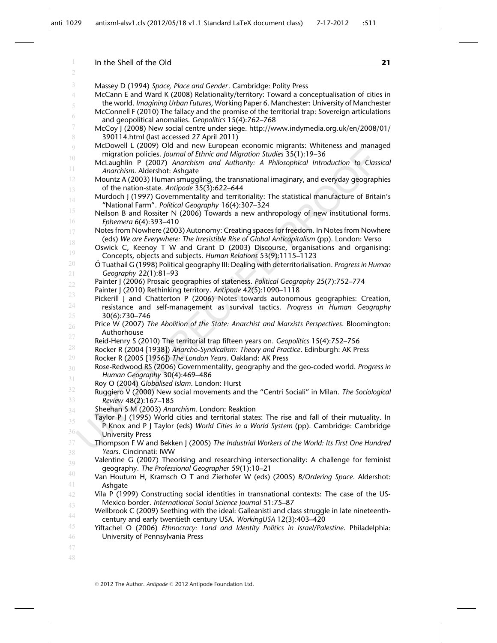| In the Shell of the Old<br>21                                                                     |
|---------------------------------------------------------------------------------------------------|
|                                                                                                   |
| Massey D (1994) Space, Place and Gender. Cambridge: Polity Press                                  |
| McCann E and Ward K (2008) Relationality/territory: Toward a conceptualisation of cities in       |
| the world. Imagining Urban Futures, Working Paper 6. Manchester: University of Manchester         |
| McConnell F (2010) The fallacy and the promise of the territorial trap: Sovereign articulations   |
| and geopolitical anomalies. Geopolitics 15(4):762-768                                             |
| McCoy J (2008) New social centre under siege. http://www.indymedia.org.uk/en/2008/01/             |
| 390114.html (last accessed 27 April 2011)                                                         |
|                                                                                                   |
| McDowell L (2009) Old and new European economic migrants: Whiteness and managed                   |
| migration policies. Journal of Ethnic and Migration Studies 35(1):19-36                           |
| McLaughlin P (2007) Anarchism and Authority: A Philosophical Introduction to Classical            |
| Anarchism. Aldershot: Ashgate                                                                     |
| Mountz A (2003) Human smuggling, the transnational imaginary, and everyday geographies            |
| of the nation-state. Antipode 35(3):622-644                                                       |
| Murdoch J (1997) Governmentality and territoriality: The statistical manufacture of Britain's     |
| "National Farm". Political Geography 16(4):307-324                                                |
| Neilson B and Rossiter N (2006) Towards a new anthropology of new institutional forms.            |
| Ephemera 6(4):393-410                                                                             |
|                                                                                                   |
| Notes from Nowhere (2003) Autonomy: Creating spaces for freedom. In Notes from Nowhere            |
| (eds) We are Everywhere: The Irresistible Rise of Global Anticapitalism (pp). London: Verso       |
| Oswick C, Keenoy T W and Grant D (2003) Discourse, organisations and organising:                  |
| Concepts, objects and subjects. Human Relations 53(9):1115-1123                                   |
| O Tuathail G (1998) Political geography III: Dealing with deterritorialisation. Progress in Human |
| Geography 22(1):81-93                                                                             |
| Painter J (2006) Prosaic geographies of stateness. Political Geography 25(7):752-774              |
| Painter J (2010) Rethinking territory. Antipode 42(5):1090-1118                                   |
| Pickerill J and Chatterton P (2006) Notes towards autonomous geographies: Creation,               |
| resistance and self-management as survival tactics. Progress in Human Geography                   |
|                                                                                                   |
| 30(6):730-746                                                                                     |
| Price W (2007) The Abolition of the State: Anarchist and Marxists Perspectives. Bloomington:      |
| Authorhouse                                                                                       |
| Reid-Henry S (2010) The territorial trap fifteen years on. Geopolitics 15(4):752-756              |
| Rocker R (2004 [1938]) Anarcho-Syndicalism: Theory and Practice. Edinburgh: AK Press              |
| Rocker R (2005 [1956]) The London Years. Oakland: AK Press                                        |
| Rose-Redwood RS (2006) Governmentality, geography and the geo-coded world. Progress in            |
| Human Geography 30(4):469-486                                                                     |
| Roy O (2004) Globalised Islam. London: Hurst                                                      |
| Ruggiero V (2000) New social movements and the "Centri Sociali" in Milan. The Sociological        |
| Review 48(2):167-185                                                                              |
| Sheehan S M (2003) Anarchism. London: Reaktion                                                    |
|                                                                                                   |
| Taylor P J (1995) World cities and territorial states: The rise and fall of their mutuality. In   |
| P Knox and P J Taylor (eds) World Cities in a World System (pp). Cambridge: Cambridge             |
| <b>University Press</b>                                                                           |
| Thompson F W and Bekken J (2005) The Industrial Workers of the World: Its First One Hundred       |
| Years. Cincinnati: IWW                                                                            |
| Valentine G (2007) Theorising and researching intersectionality: A challenge for feminist         |
| geography. The Professional Geographer 59(1):10-21                                                |
| Van Houtum H, Kramsch O T and Zierhofer W (eds) (2005) B/Ordering Space. Aldershot:               |
| Ashgate                                                                                           |
|                                                                                                   |
| Vila P (1999) Constructing social identities in transnational contexts: The case of the US-       |
| Mexico border. International Social Science Journal 51:75-87                                      |
| Wellbrook C (2009) Seething with the ideal: Galleanisti and class struggle in late nineteenth-    |
| century and early twentieth century USA. WorkingUSA 12(3):403-420                                 |
| Yiftachel O (2006) Ethnocracy: Land and Identity Politics in Israel/Palestine. Philadelphia:      |
| University of Pennsylvania Press                                                                  |
|                                                                                                   |
|                                                                                                   |
|                                                                                                   |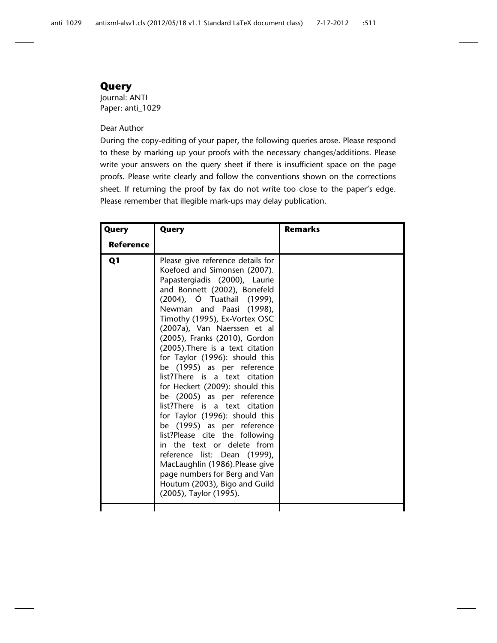#### **Query**

Journal: ANTI Paper: anti\_1029

Dear Author

During the copy-editing of your paper, the following queries arose. Please respond to these by marking up your proofs with the necessary changes/additions. Please write your answers on the query sheet if there is insufficient space on the page proofs. Please write clearly and follow the conventions shown on the corrections sheet. If returning the proof by fax do not write too close to the paper's edge. Please remember that illegible mark-ups may delay publication.

| Query            | Query                                                                                                                                                                                                                                                                                                                                                                                                                                                                                                                                                                                                                                                                                                                                                                                                                              | <b>Remarks</b> |
|------------------|------------------------------------------------------------------------------------------------------------------------------------------------------------------------------------------------------------------------------------------------------------------------------------------------------------------------------------------------------------------------------------------------------------------------------------------------------------------------------------------------------------------------------------------------------------------------------------------------------------------------------------------------------------------------------------------------------------------------------------------------------------------------------------------------------------------------------------|----------------|
| <b>Reference</b> |                                                                                                                                                                                                                                                                                                                                                                                                                                                                                                                                                                                                                                                                                                                                                                                                                                    |                |
| Q <sub>1</sub>   | Please give reference details for<br>Koefoed and Simonsen (2007).<br>Papastergiadis (2000), Laurie<br>and Bonnett (2002), Bonefeld<br>(2004), Ó Tuathail (1999),<br>Newman and Paasi (1998),<br>Timothy (1995), Ex-Vortex OSC<br>(2007a), Van Naerssen et al<br>(2005), Franks (2010), Gordon<br>(2005). There is a text citation<br>for Taylor (1996): should this<br>be (1995) as per reference<br>list?There is a text citation<br>for Heckert (2009): should this<br>be (2005) as per reference<br>list?There is a text citation<br>for Taylor (1996): should this<br>be (1995) as per reference<br>list?Please cite the following<br>in the text or delete from<br>reference list: Dean (1999),<br>MacLaughlin (1986).Please give<br>page numbers for Berg and Van<br>Houtum (2003), Bigo and Guild<br>(2005), Taylor (1995). |                |